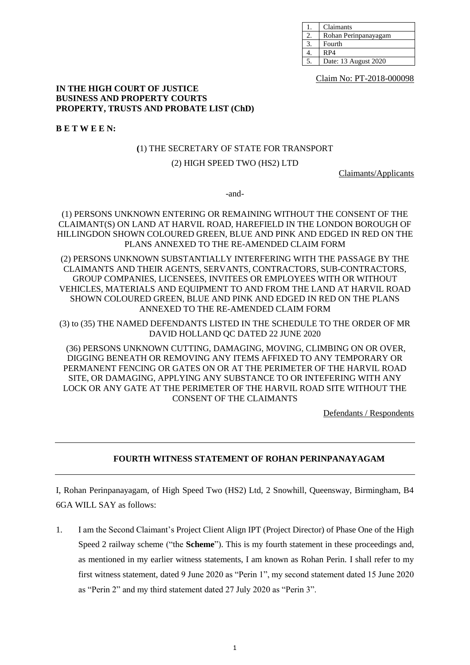| Claimants            |
|----------------------|
| Rohan Perinpanayagam |
| Fourth               |
| RP4                  |
| Date: 13 August 2020 |

Claim No: PT-2018-000098

#### **IN THE HIGH COURT OF JUSTICE BUSINESS AND PROPERTY COURTS PROPERTY, TRUSTS AND PROBATE LIST (ChD)**

**B E T W E E N:**

## **(**1) THE SECRETARY OF STATE FOR TRANSPORT

# (2) HIGH SPEED TWO (HS2) LTD

Claimants/Applicants

-and-

## (1) PERSONS UNKNOWN ENTERING OR REMAINING WITHOUT THE CONSENT OF THE CLAIMANT(S) ON LAND AT HARVIL ROAD, HAREFIELD IN THE LONDON BOROUGH OF HILLINGDON SHOWN COLOURED GREEN, BLUE AND PINK AND EDGED IN RED ON THE PLANS ANNEXED TO THE RE-AMENDED CLAIM FORM

(2) PERSONS UNKNOWN SUBSTANTIALLY INTERFERING WITH THE PASSAGE BY THE CLAIMANTS AND THEIR AGENTS, SERVANTS, CONTRACTORS, SUB-CONTRACTORS, GROUP COMPANIES, LICENSEES, INVITEES OR EMPLOYEES WITH OR WITHOUT VEHICLES, MATERIALS AND EQUIPMENT TO AND FROM THE LAND AT HARVIL ROAD SHOWN COLOURED GREEN, BLUE AND PINK AND EDGED IN RED ON THE PLANS ANNEXED TO THE RE-AMENDED CLAIM FORM

(3) to (35) THE NAMED DEFENDANTS LISTED IN THE SCHEDULE TO THE ORDER OF MR DAVID HOLLAND QC DATED 22 JUNE 2020

(36) PERSONS UNKNOWN CUTTING, DAMAGING, MOVING, CLIMBING ON OR OVER, DIGGING BENEATH OR REMOVING ANY ITEMS AFFIXED TO ANY TEMPORARY OR PERMANENT FENCING OR GATES ON OR AT THE PERIMETER OF THE HARVIL ROAD SITE, OR DAMAGING, APPLYING ANY SUBSTANCE TO OR INTEFERING WITH ANY LOCK OR ANY GATE AT THE PERIMETER OF THE HARVIL ROAD SITE WITHOUT THE CONSENT OF THE CLAIMANTS

Defendants / Respondents

# **FOURTH WITNESS STATEMENT OF ROHAN PERINPANAYAGAM**

I, Rohan Perinpanayagam, of High Speed Two (HS2) Ltd, 2 Snowhill, Queensway, Birmingham, B4 6GA WILL SAY as follows:

1. I am the Second Claimant's Project Client Align IPT (Project Director) of Phase One of the High Speed 2 railway scheme ("the **Scheme**"). This is my fourth statement in these proceedings and, as mentioned in my earlier witness statements, I am known as Rohan Perin. I shall refer to my first witness statement, dated 9 June 2020 as "Perin 1", my second statement dated 15 June 2020 as "Perin 2" and my third statement dated 27 July 2020 as "Perin 3".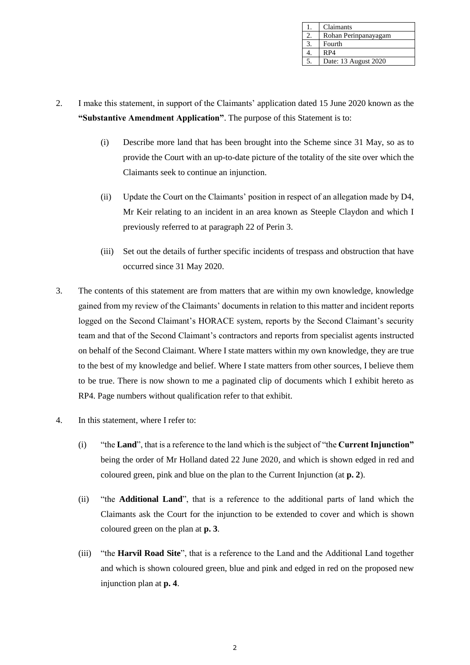| Claimants            |
|----------------------|
| Rohan Perinpanayagam |
| Fourth               |
| RP4                  |
| Date: 13 August 2020 |

- 2. I make this statement, in support of the Claimants' application dated 15 June 2020 known as the **"Substantive Amendment Application"**. The purpose of this Statement is to:
	- (i) Describe more land that has been brought into the Scheme since 31 May, so as to provide the Court with an up-to-date picture of the totality of the site over which the Claimants seek to continue an injunction.
	- (ii) Update the Court on the Claimants' position in respect of an allegation made by D4, Mr Keir relating to an incident in an area known as Steeple Claydon and which I previously referred to at paragraph 22 of Perin 3.
	- (iii) Set out the details of further specific incidents of trespass and obstruction that have occurred since 31 May 2020.
- 3. The contents of this statement are from matters that are within my own knowledge, knowledge gained from my review of the Claimants' documents in relation to this matter and incident reports logged on the Second Claimant's HORACE system, reports by the Second Claimant's security team and that of the Second Claimant's contractors and reports from specialist agents instructed on behalf of the Second Claimant. Where I state matters within my own knowledge, they are true to the best of my knowledge and belief. Where I state matters from other sources, I believe them to be true. There is now shown to me a paginated clip of documents which I exhibit hereto as RP4. Page numbers without qualification refer to that exhibit.
- <span id="page-1-0"></span>4. In this statement, where I refer to:
	- (i) "the **Land**", that is a reference to the land which is the subject of "the **Current Injunction"** being the order of Mr Holland dated 22 June 2020, and which is shown edged in red and coloured green, pink and blue on the plan to the Current Injunction (at **p. 2**).
	- (ii) "the **Additional Land**", that is a reference to the additional parts of land which the Claimants ask the Court for the injunction to be extended to cover and which is shown coloured green on the plan at **p. 3**.
	- (iii) "the **Harvil Road Site**", that is a reference to the Land and the Additional Land together and which is shown coloured green, blue and pink and edged in red on the proposed new injunction plan at **p. 4**.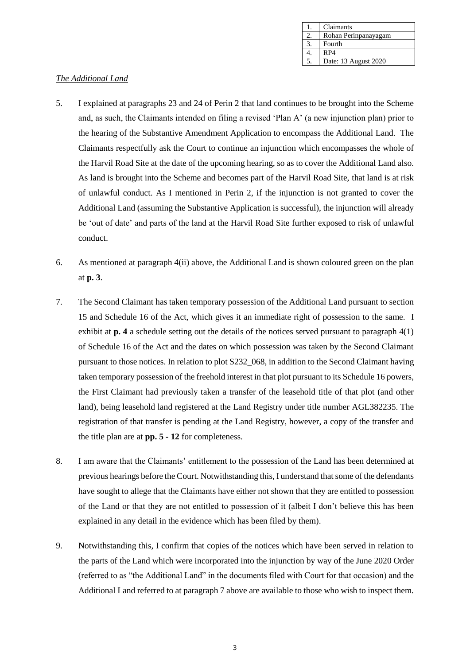| Claimants            |
|----------------------|
| Rohan Perinpanayagam |
| Fourth               |
| RP4                  |
| Date: 13 August 2020 |

# *The Additional Land*

- 5. I explained at paragraphs 23 and 24 of Perin 2 that land continues to be brought into the Scheme and, as such, the Claimants intended on filing a revised 'Plan A' (a new injunction plan) prior to the hearing of the Substantive Amendment Application to encompass the Additional Land. The Claimants respectfully ask the Court to continue an injunction which encompasses the whole of the Harvil Road Site at the date of the upcoming hearing, so as to cover the Additional Land also. As land is brought into the Scheme and becomes part of the Harvil Road Site, that land is at risk of unlawful conduct. As I mentioned in Perin 2, if the injunction is not granted to cover the Additional Land (assuming the Substantive Application is successful), the injunction will already be 'out of date' and parts of the land at the Harvil Road Site further exposed to risk of unlawful conduct.
- 6. As mentioned at paragraph [4\(ii\)](#page-1-0) above, the Additional Land is shown coloured green on the plan at **p. 3**.
- 7. The Second Claimant has taken temporary possession of the Additional Land pursuant to section 15 and Schedule 16 of the Act, which gives it an immediate right of possession to the same. I exhibit at **p. 4** a schedule setting out the details of the notices served pursuant to paragraph 4(1) of Schedule 16 of the Act and the dates on which possession was taken by the Second Claimant pursuant to those notices. In relation to plot S232\_068, in addition to the Second Claimant having taken temporary possession of the freehold interest in that plot pursuant to its Schedule 16 powers, the First Claimant had previously taken a transfer of the leasehold title of that plot (and other land), being leasehold land registered at the Land Registry under title number AGL382235. The registration of that transfer is pending at the Land Registry, however, a copy of the transfer and the title plan are at **pp. 5 - 12** for completeness.
- 8. I am aware that the Claimants' entitlement to the possession of the Land has been determined at previous hearings before the Court. Notwithstanding this, I understand that some of the defendants have sought to allege that the Claimants have either not shown that they are entitled to possession of the Land or that they are not entitled to possession of it (albeit I don't believe this has been explained in any detail in the evidence which has been filed by them).
- 9. Notwithstanding this, I confirm that copies of the notices which have been served in relation to the parts of the Land which were incorporated into the injunction by way of the June 2020 Order (referred to as "the Additional Land" in the documents filed with Court for that occasion) and the Additional Land referred to at paragraph 7 above are available to those who wish to inspect them.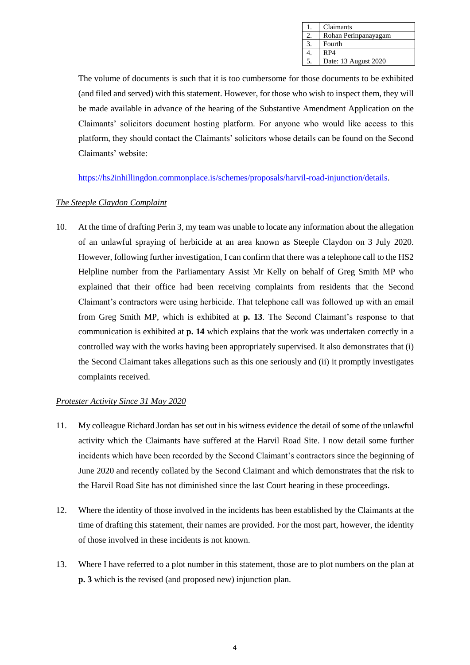| Claimants            |
|----------------------|
| Rohan Perinpanayagam |
| Fourth               |
| RP4                  |
| Date: 13 August 2020 |

The volume of documents is such that it is too cumbersome for those documents to be exhibited (and filed and served) with this statement. However, for those who wish to inspect them, they will be made available in advance of the hearing of the Substantive Amendment Application on the Claimants' solicitors document hosting platform. For anyone who would like access to this platform, they should contact the Claimants' solicitors whose details can be found on the Second Claimants' website:

[https://hs2inhillingdon.commonplace.is/schemes/proposals/harvil-road-injunction/details.](https://hs2inhillingdon.commonplace.is/schemes/proposals/harvil-road-injunction/details)

# *The Steeple Claydon Complaint*

10. At the time of drafting Perin 3, my team was unable to locate any information about the allegation of an unlawful spraying of herbicide at an area known as Steeple Claydon on 3 July 2020. However, following further investigation, I can confirm that there was a telephone call to the HS2 Helpline number from the Parliamentary Assist Mr Kelly on behalf of Greg Smith MP who explained that their office had been receiving complaints from residents that the Second Claimant's contractors were using herbicide. That telephone call was followed up with an email from Greg Smith MP, which is exhibited at **p. 13**. The Second Claimant's response to that communication is exhibited at **p. 14** which explains that the work was undertaken correctly in a controlled way with the works having been appropriately supervised. It also demonstrates that (i) the Second Claimant takes allegations such as this one seriously and (ii) it promptly investigates complaints received.

## *Protester Activity Since 31 May 2020*

- 11. My colleague Richard Jordan has set out in his witness evidence the detail of some of the unlawful activity which the Claimants have suffered at the Harvil Road Site. I now detail some further incidents which have been recorded by the Second Claimant's contractors since the beginning of June 2020 and recently collated by the Second Claimant and which demonstrates that the risk to the Harvil Road Site has not diminished since the last Court hearing in these proceedings.
- 12. Where the identity of those involved in the incidents has been established by the Claimants at the time of drafting this statement, their names are provided. For the most part, however, the identity of those involved in these incidents is not known.
- 13. Where I have referred to a plot number in this statement, those are to plot numbers on the plan at **p. 3** which is the revised (and proposed new) injunction plan.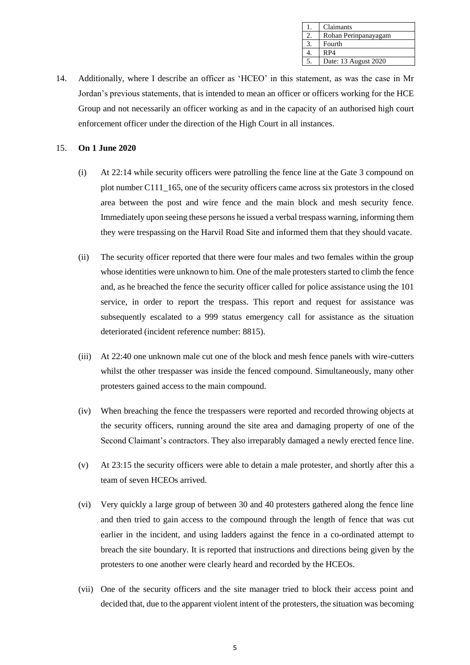| Claimants            |
|----------------------|
| Rohan Perinpanayagam |
| Fourth               |
| RP4                  |
| Date: 13 August 2020 |

14. Additionally, where I describe an officer as 'HCEO' in this statement, as was the case in Mr Jordan's previous statements, that is intended to mean an officer or officers working for the HCE Group and not necessarily an officer working as and in the capacity of an authorised high court enforcement officer under the direction of the High Court in all instances.

#### 15. **On 1 June 2020**

- (i) At 22:14 while security officers were patrolling the fence line at the Gate 3 compound on plot number C111\_165, one of the security officers came across six protestors in the closed area between the post and wire fence and the main block and mesh security fence. Immediately upon seeing these persons he issued a verbal trespass warning, informing them they were trespassing on the Harvil Road Site and informed them that they should vacate.
- (ii) The security officer reported that there were four males and two females within the group whose identities were unknown to him. One of the male protesters started to climb the fence and, as he breached the fence the security officer called for police assistance using the 101 service, in order to report the trespass. This report and request for assistance was subsequently escalated to a 999 status emergency call for assistance as the situation deteriorated (incident reference number: 8815).
- (iii) At 22:40 one unknown male cut one of the block and mesh fence panels with wire-cutters whilst the other trespasser was inside the fenced compound. Simultaneously, many other protesters gained access to the main compound.
- (iv) When breaching the fence the trespassers were reported and recorded throwing objects at the security officers, running around the site area and damaging property of one of the Second Claimant's contractors. They also irreparably damaged a newly erected fence line.
- (v) At 23:15 the security officers were able to detain a male protester, and shortly after this a team of seven HCEOs arrived.
- (vi) Very quickly a large group of between 30 and 40 protesters gathered along the fence line and then tried to gain access to the compound through the length of fence that was cut earlier in the incident, and using ladders against the fence in a co-ordinated attempt to breach the site boundary. It is reported that instructions and directions being given by the protesters to one another were clearly heard and recorded by the HCEOs.
- (vii) One of the security officers and the site manager tried to block their access point and decided that, due to the apparent violent intent of the protesters, the situation was becoming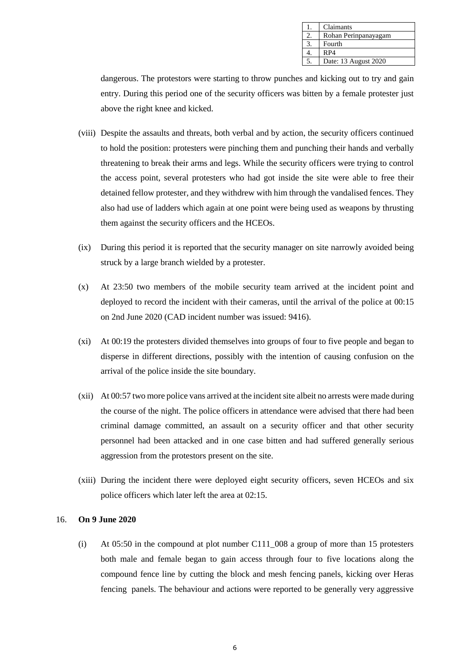| Claimants            |
|----------------------|
| Rohan Perinpanayagam |
| Fourth               |
| RP4                  |
| Date: 13 August 2020 |

dangerous. The protestors were starting to throw punches and kicking out to try and gain entry. During this period one of the security officers was bitten by a female protester just above the right knee and kicked.

- (viii) Despite the assaults and threats, both verbal and by action, the security officers continued to hold the position: protesters were pinching them and punching their hands and verbally threatening to break their arms and legs. While the security officers were trying to control the access point, several protesters who had got inside the site were able to free their detained fellow protester, and they withdrew with him through the vandalised fences. They also had use of ladders which again at one point were being used as weapons by thrusting them against the security officers and the HCEOs.
- (ix) During this period it is reported that the security manager on site narrowly avoided being struck by a large branch wielded by a protester.
- (x) At 23:50 two members of the mobile security team arrived at the incident point and deployed to record the incident with their cameras, until the arrival of the police at 00:15 on 2nd June 2020 (CAD incident number was issued: 9416).
- (xi) At 00:19 the protesters divided themselves into groups of four to five people and began to disperse in different directions, possibly with the intention of causing confusion on the arrival of the police inside the site boundary.
- (xii) At 00:57 two more police vans arrived at the incident site albeit no arrests were made during the course of the night. The police officers in attendance were advised that there had been criminal damage committed, an assault on a security officer and that other security personnel had been attacked and in one case bitten and had suffered generally serious aggression from the protestors present on the site.
- (xiii) During the incident there were deployed eight security officers, seven HCEOs and six police officers which later left the area at 02:15.

## 16. **On 9 June 2020**

(i) At 05:50 in the compound at plot number C111\_008 a group of more than 15 protesters both male and female began to gain access through four to five locations along the compound fence line by cutting the block and mesh fencing panels, kicking over Heras fencing panels. The behaviour and actions were reported to be generally very aggressive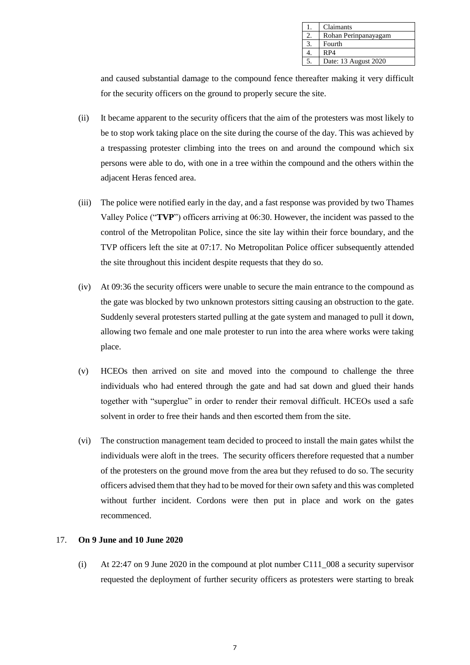| Claimants            |
|----------------------|
| Rohan Perinpanayagam |
| Fourth               |
| RP4                  |
| Date: 13 August 2020 |

and caused substantial damage to the compound fence thereafter making it very difficult for the security officers on the ground to properly secure the site.

- (ii) It became apparent to the security officers that the aim of the protesters was most likely to be to stop work taking place on the site during the course of the day. This was achieved by a trespassing protester climbing into the trees on and around the compound which six persons were able to do, with one in a tree within the compound and the others within the adjacent Heras fenced area.
- (iii) The police were notified early in the day, and a fast response was provided by two Thames Valley Police ("**TVP**") officers arriving at 06:30. However, the incident was passed to the control of the Metropolitan Police, since the site lay within their force boundary, and the TVP officers left the site at 07:17. No Metropolitan Police officer subsequently attended the site throughout this incident despite requests that they do so.
- (iv) At 09:36 the security officers were unable to secure the main entrance to the compound as the gate was blocked by two unknown protestors sitting causing an obstruction to the gate. Suddenly several protesters started pulling at the gate system and managed to pull it down, allowing two female and one male protester to run into the area where works were taking place.
- (v) HCEOs then arrived on site and moved into the compound to challenge the three individuals who had entered through the gate and had sat down and glued their hands together with "superglue" in order to render their removal difficult. HCEOs used a safe solvent in order to free their hands and then escorted them from the site.
- (vi) The construction management team decided to proceed to install the main gates whilst the individuals were aloft in the trees. The security officers therefore requested that a number of the protesters on the ground move from the area but they refused to do so. The security officers advised them that they had to be moved for their own safety and this was completed without further incident. Cordons were then put in place and work on the gates recommenced.

# 17. **On 9 June and 10 June 2020**

(i) At 22:47 on 9 June 2020 in the compound at plot number C111\_008 a security supervisor requested the deployment of further security officers as protesters were starting to break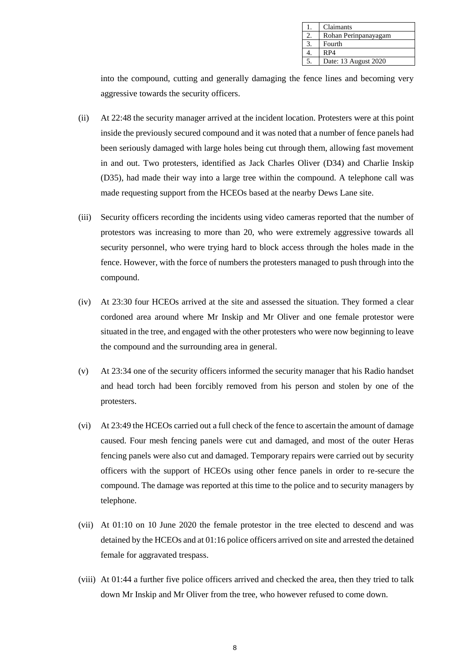| Claimants            |
|----------------------|
| Rohan Perinpanayagam |
| Fourth               |
| R <sub>P4</sub>      |
| Date: 13 August 2020 |

into the compound, cutting and generally damaging the fence lines and becoming very aggressive towards the security officers.

- (ii) At 22:48 the security manager arrived at the incident location. Protesters were at this point inside the previously secured compound and it was noted that a number of fence panels had been seriously damaged with large holes being cut through them, allowing fast movement in and out. Two protesters, identified as Jack Charles Oliver (D34) and Charlie Inskip (D35), had made their way into a large tree within the compound. A telephone call was made requesting support from the HCEOs based at the nearby Dews Lane site.
- (iii) Security officers recording the incidents using video cameras reported that the number of protestors was increasing to more than 20, who were extremely aggressive towards all security personnel, who were trying hard to block access through the holes made in the fence. However, with the force of numbers the protesters managed to push through into the compound.
- (iv) At 23:30 four HCEOs arrived at the site and assessed the situation. They formed a clear cordoned area around where Mr Inskip and Mr Oliver and one female protestor were situated in the tree, and engaged with the other protesters who were now beginning to leave the compound and the surrounding area in general.
- (v) At 23:34 one of the security officers informed the security manager that his Radio handset and head torch had been forcibly removed from his person and stolen by one of the protesters.
- (vi) At 23:49 the HCEOs carried out a full check of the fence to ascertain the amount of damage caused. Four mesh fencing panels were cut and damaged, and most of the outer Heras fencing panels were also cut and damaged. Temporary repairs were carried out by security officers with the support of HCEOs using other fence panels in order to re-secure the compound. The damage was reported at this time to the police and to security managers by telephone.
- (vii) At 01:10 on 10 June 2020 the female protestor in the tree elected to descend and was detained by the HCEOs and at 01:16 police officers arrived on site and arrested the detained female for aggravated trespass.
- (viii) At 01:44 a further five police officers arrived and checked the area, then they tried to talk down Mr Inskip and Mr Oliver from the tree, who however refused to come down.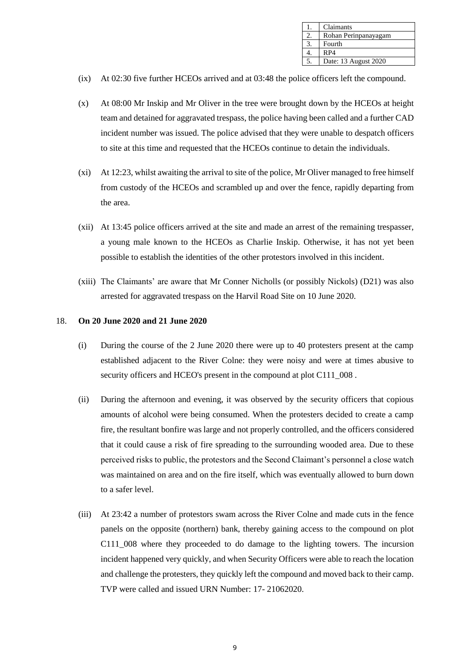| Claimants            |
|----------------------|
| Rohan Perinpanayagam |
| Fourth               |
| RP4                  |
| Date: 13 August 2020 |

- (ix) At 02:30 five further HCEOs arrived and at 03:48 the police officers left the compound.
- (x) At 08:00 Mr Inskip and Mr Oliver in the tree were brought down by the HCEOs at height team and detained for aggravated trespass, the police having been called and a further CAD incident number was issued. The police advised that they were unable to despatch officers to site at this time and requested that the HCEOs continue to detain the individuals.
- (xi) At 12:23, whilst awaiting the arrival to site of the police, Mr Oliver managed to free himself from custody of the HCEOs and scrambled up and over the fence, rapidly departing from the area.
- (xii) At 13:45 police officers arrived at the site and made an arrest of the remaining trespasser, a young male known to the HCEOs as Charlie Inskip. Otherwise, it has not yet been possible to establish the identities of the other protestors involved in this incident.
- (xiii) The Claimants' are aware that Mr Conner Nicholls (or possibly Nickols) (D21) was also arrested for aggravated trespass on the Harvil Road Site on 10 June 2020.

## 18. **On 20 June 2020 and 21 June 2020**

- (i) During the course of the 2 June 2020 there were up to 40 protesters present at the camp established adjacent to the River Colne: they were noisy and were at times abusive to security officers and HCEO's present in the compound at plot C111\_008 .
- (ii) During the afternoon and evening, it was observed by the security officers that copious amounts of alcohol were being consumed. When the protesters decided to create a camp fire, the resultant bonfire was large and not properly controlled, and the officers considered that it could cause a risk of fire spreading to the surrounding wooded area. Due to these perceived risks to public, the protestors and the Second Claimant's personnel a close watch was maintained on area and on the fire itself, which was eventually allowed to burn down to a safer level.
- (iii) At 23:42 a number of protestors swam across the River Colne and made cuts in the fence panels on the opposite (northern) bank, thereby gaining access to the compound on plot C111\_008 where they proceeded to do damage to the lighting towers. The incursion incident happened very quickly, and when Security Officers were able to reach the location and challenge the protesters, they quickly left the compound and moved back to their camp. TVP were called and issued URN Number: 17- 21062020.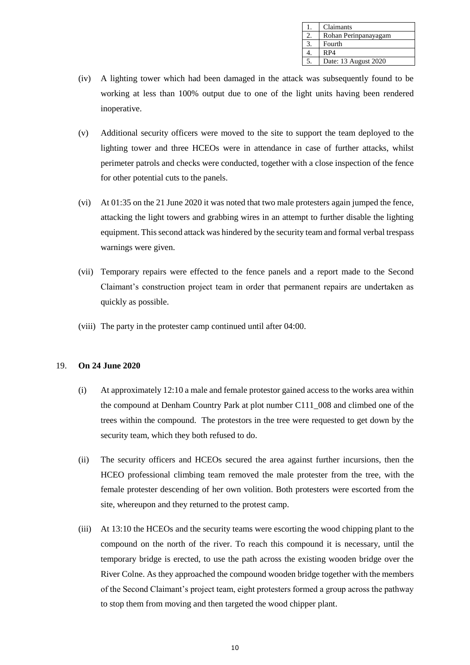| Claimants            |
|----------------------|
| Rohan Perinpanayagam |
| Fourth               |
| RP4                  |
| Date: 13 August 2020 |

- (iv) A lighting tower which had been damaged in the attack was subsequently found to be working at less than 100% output due to one of the light units having been rendered inoperative.
- (v) Additional security officers were moved to the site to support the team deployed to the lighting tower and three HCEOs were in attendance in case of further attacks, whilst perimeter patrols and checks were conducted, together with a close inspection of the fence for other potential cuts to the panels.
- (vi) At 01:35 on the 21 June 2020 it was noted that two male protesters again jumped the fence, attacking the light towers and grabbing wires in an attempt to further disable the lighting equipment. This second attack was hindered by the security team and formal verbal trespass warnings were given.
- (vii) Temporary repairs were effected to the fence panels and a report made to the Second Claimant's construction project team in order that permanent repairs are undertaken as quickly as possible.
- (viii) The party in the protester camp continued until after 04:00.

## 19. **On 24 June 2020**

- (i) At approximately 12:10 a male and female protestor gained access to the works area within the compound at Denham Country Park at plot number C111\_008 and climbed one of the trees within the compound. The protestors in the tree were requested to get down by the security team, which they both refused to do.
- (ii) The security officers and HCEOs secured the area against further incursions, then the HCEO professional climbing team removed the male protester from the tree, with the female protester descending of her own volition. Both protesters were escorted from the site, whereupon and they returned to the protest camp.
- (iii) At 13:10 the HCEOs and the security teams were escorting the wood chipping plant to the compound on the north of the river. To reach this compound it is necessary, until the temporary bridge is erected, to use the path across the existing wooden bridge over the River Colne. As they approached the compound wooden bridge together with the members of the Second Claimant's project team, eight protesters formed a group across the pathway to stop them from moving and then targeted the wood chipper plant.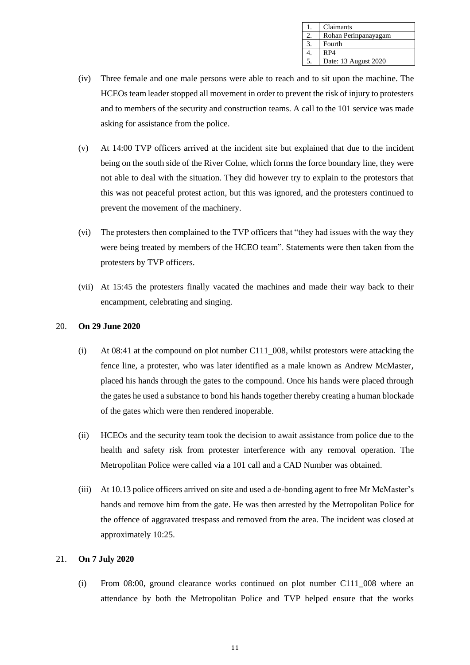| Claimants            |
|----------------------|
| Rohan Perinpanayagam |
| Fourth               |
| RP4                  |
| Date: 13 August 2020 |

- (iv) Three female and one male persons were able to reach and to sit upon the machine. The HCEOs team leader stopped all movement in order to prevent the risk of injury to protesters and to members of the security and construction teams. A call to the 101 service was made asking for assistance from the police.
- (v) At 14:00 TVP officers arrived at the incident site but explained that due to the incident being on the south side of the River Colne, which forms the force boundary line, they were not able to deal with the situation. They did however try to explain to the protestors that this was not peaceful protest action, but this was ignored, and the protesters continued to prevent the movement of the machinery.
- (vi) The protesters then complained to the TVP officers that "they had issues with the way they were being treated by members of the HCEO team". Statements were then taken from the protesters by TVP officers.
- (vii) At 15:45 the protesters finally vacated the machines and made their way back to their encampment, celebrating and singing.

## 20. **On 29 June 2020**

- (i) At 08:41 at the compound on plot number C111\_008, whilst protestors were attacking the fence line, a protester, who was later identified as a male known as Andrew McMaster, placed his hands through the gates to the compound. Once his hands were placed through the gates he used a substance to bond his hands together thereby creating a human blockade of the gates which were then rendered inoperable.
- (ii) HCEOs and the security team took the decision to await assistance from police due to the health and safety risk from protester interference with any removal operation. The Metropolitan Police were called via a 101 call and a CAD Number was obtained.
- (iii) At 10.13 police officers arrived on site and used a de-bonding agent to free Mr McMaster's hands and remove him from the gate. He was then arrested by the Metropolitan Police for the offence of aggravated trespass and removed from the area. The incident was closed at approximately 10:25.

## 21. **On 7 July 2020**

(i) From 08:00, ground clearance works continued on plot number C111\_008 where an attendance by both the Metropolitan Police and TVP helped ensure that the works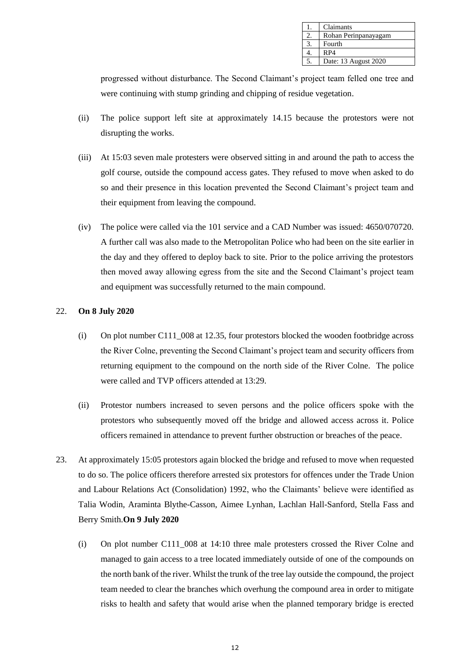| Claimants            |
|----------------------|
| Rohan Perinpanayagam |
| Fourth               |
| RP4                  |
| Date: 13 August 2020 |

progressed without disturbance. The Second Claimant's project team felled one tree and were continuing with stump grinding and chipping of residue vegetation.

- (ii) The police support left site at approximately 14.15 because the protestors were not disrupting the works.
- (iii) At 15:03 seven male protesters were observed sitting in and around the path to access the golf course, outside the compound access gates. They refused to move when asked to do so and their presence in this location prevented the Second Claimant's project team and their equipment from leaving the compound.
- (iv) The police were called via the 101 service and a CAD Number was issued: 4650/070720. A further call was also made to the Metropolitan Police who had been on the site earlier in the day and they offered to deploy back to site. Prior to the police arriving the protestors then moved away allowing egress from the site and the Second Claimant's project team and equipment was successfully returned to the main compound.

# 22. **On 8 July 2020**

- (i) On plot number C111\_008 at 12.35, four protestors blocked the wooden footbridge across the River Colne, preventing the Second Claimant's project team and security officers from returning equipment to the compound on the north side of the River Colne. The police were called and TVP officers attended at 13:29.
- (ii) Protestor numbers increased to seven persons and the police officers spoke with the protestors who subsequently moved off the bridge and allowed access across it. Police officers remained in attendance to prevent further obstruction or breaches of the peace.
- 23. At approximately 15:05 protestors again blocked the bridge and refused to move when requested to do so. The police officers therefore arrested six protestors for offences under the Trade Union and Labour Relations Act (Consolidation) 1992, who the Claimants' believe were identified as Talia Wodin, Araminta Blythe-Casson, Aimee Lynhan, Lachlan Hall-Sanford, Stella Fass and Berry Smith.**On 9 July 2020**
	- (i) On plot number C111\_008 at 14:10 three male protesters crossed the River Colne and managed to gain access to a tree located immediately outside of one of the compounds on the north bank of the river. Whilst the trunk of the tree lay outside the compound, the project team needed to clear the branches which overhung the compound area in order to mitigate risks to health and safety that would arise when the planned temporary bridge is erected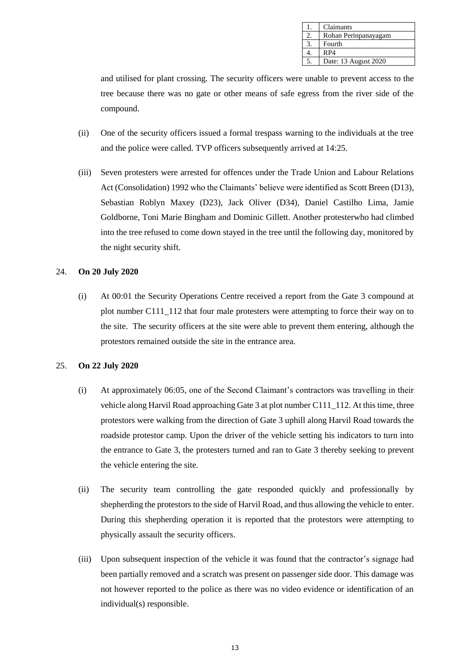| Claimants            |
|----------------------|
| Rohan Perinpanayagam |
| Fourth               |
| RP4                  |
| Date: 13 August 2020 |

and utilised for plant crossing. The security officers were unable to prevent access to the tree because there was no gate or other means of safe egress from the river side of the compound.

- (ii) One of the security officers issued a formal trespass warning to the individuals at the tree and the police were called. TVP officers subsequently arrived at 14:25.
- (iii) Seven protesters were arrested for offences under the Trade Union and Labour Relations Act (Consolidation) 1992 who the Claimants' believe were identified as Scott Breen (D13), Sebastian Roblyn Maxey (D23), Jack Oliver (D34), Daniel Castilho Lima, Jamie Goldborne, Toni Marie Bingham and Dominic Gillett. Another protesterwho had climbed into the tree refused to come down stayed in the tree until the following day, monitored by the night security shift.

#### 24. **On 20 July 2020**

(i) At 00:01 the Security Operations Centre received a report from the Gate 3 compound at plot number C111\_112 that four male protesters were attempting to force their way on to the site. The security officers at the site were able to prevent them entering, although the protestors remained outside the site in the entrance area.

#### 25. **On 22 July 2020**

- (i) At approximately 06:05, one of the Second Claimant's contractors was travelling in their vehicle along Harvil Road approaching Gate 3 at plot number C111\_112. At this time, three protestors were walking from the direction of Gate 3 uphill along Harvil Road towards the roadside protestor camp. Upon the driver of the vehicle setting his indicators to turn into the entrance to Gate 3, the protesters turned and ran to Gate 3 thereby seeking to prevent the vehicle entering the site.
- (ii) The security team controlling the gate responded quickly and professionally by shepherding the protestors to the side of Harvil Road, and thus allowing the vehicle to enter. During this shepherding operation it is reported that the protestors were attempting to physically assault the security officers.
- (iii) Upon subsequent inspection of the vehicle it was found that the contractor's signage had been partially removed and a scratch was present on passenger side door. This damage was not however reported to the police as there was no video evidence or identification of an individual(s) responsible.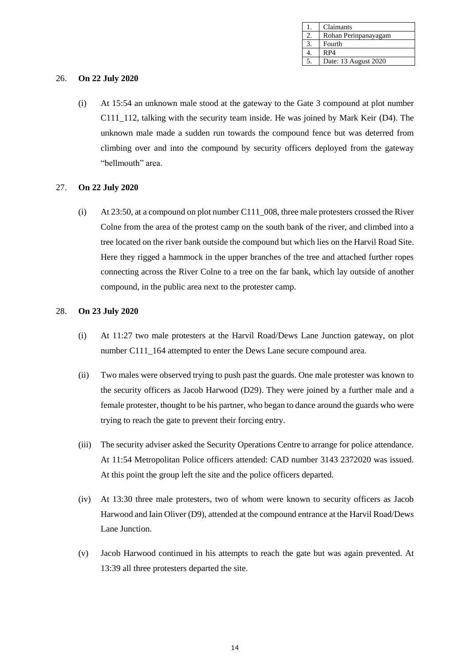| Claimants            |
|----------------------|
| Rohan Perinpanayagam |
| Fourth               |
| RP4                  |
| Date: 13 August 2020 |

#### 26. **On 22 July 2020**

(i) At 15:54 an unknown male stood at the gateway to the Gate 3 compound at plot number C111\_112, talking with the security team inside. He was joined by Mark Keir (D4). The unknown male made a sudden run towards the compound fence but was deterred from climbing over and into the compound by security officers deployed from the gateway "bellmouth" area.

#### 27. **On 22 July 2020**

(i) At 23:50, at a compound on plot number C111\_008, three male protesters crossed the River Colne from the area of the protest camp on the south bank of the river, and climbed into a tree located on the river bank outside the compound but which lies on the Harvil Road Site. Here they rigged a hammock in the upper branches of the tree and attached further ropes connecting across the River Colne to a tree on the far bank, which lay outside of another compound, in the public area next to the protester camp.

#### 28. **On 23 July 2020**

- (i) At 11:27 two male protesters at the Harvil Road/Dews Lane Junction gateway, on plot number C111\_164 attempted to enter the Dews Lane secure compound area.
- (ii) Two males were observed trying to push past the guards. One male protester was known to the security officers as Jacob Harwood (D29). They were joined by a further male and a female protester, thought to be his partner, who began to dance around the guards who were trying to reach the gate to prevent their forcing entry.
- (iii) The security adviser asked the Security Operations Centre to arrange for police attendance. At 11:54 Metropolitan Police officers attended: CAD number 3143 2372020 was issued. At this point the group left the site and the police officers departed.
- (iv) At 13:30 three male protesters, two of whom were known to security officers as Jacob Harwood and Iain Oliver (D9), attended at the compound entrance at the Harvil Road/Dews Lane Junction.
- (v) Jacob Harwood continued in his attempts to reach the gate but was again prevented. At 13:39 all three protesters departed the site.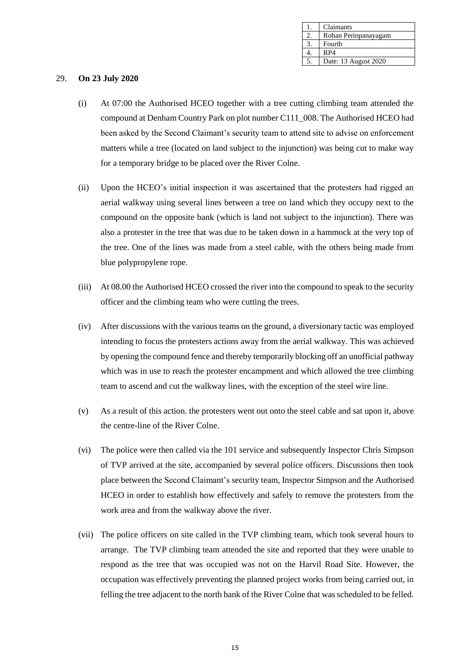| Claimants            |
|----------------------|
| Rohan Perinpanayagam |
| Fourth               |
| RP4                  |
| Date: 13 August 2020 |

#### 29. **On 23 July 2020**

- (i) At 07:00 the Authorised HCEO together with a tree cutting climbing team attended the compound at Denham Country Park on plot number C111\_008. The Authorised HCEO had been asked by the Second Claimant's security team to attend site to advise on enforcement matters while a tree (located on land subject to the injunction) was being cut to make way for a temporary bridge to be placed over the River Colne.
- (ii) Upon the HCEO's initial inspection it was ascertained that the protesters had rigged an aerial walkway using several lines between a tree on land which they occupy next to the compound on the opposite bank (which is land not subject to the injunction). There was also a protester in the tree that was due to be taken down in a hammock at the very top of the tree. One of the lines was made from a steel cable, with the others being made from blue polypropylene rope.
- (iii) At 08.00 the Authorised HCEO crossed the river into the compound to speak to the security officer and the climbing team who were cutting the trees.
- (iv) After discussions with the various teams on the ground, a diversionary tactic was employed intending to focus the protesters actions away from the aerial walkway. This was achieved by opening the compound fence and thereby temporarily blocking off an unofficial pathway which was in use to reach the protester encampment and which allowed the tree climbing team to ascend and cut the walkway lines, with the exception of the steel wire line.
- (v) As a result of this action. the protesters went out onto the steel cable and sat upon it, above the centre-line of the River Colne.
- (vi) The police were then called via the 101 service and subsequently Inspector Chris Simpson of TVP arrived at the site, accompanied by several police officers. Discussions then took place between the Second Claimant's security team, Inspector Simpson and the Authorised HCEO in order to establish how effectively and safely to remove the protesters from the work area and from the walkway above the river.
- (vii) The police officers on site called in the TVP climbing team, which took several hours to arrange. The TVP climbing team attended the site and reported that they were unable to respond as the tree that was occupied was not on the Harvil Road Site. However, the occupation was effectively preventing the planned project works from being carried out, in felling the tree adjacent to the north bank of the River Colne that was scheduled to be felled.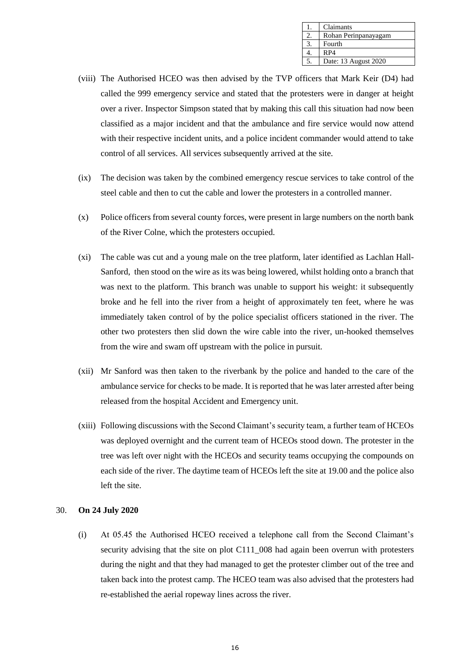| Claimants            |
|----------------------|
| Rohan Perinpanayagam |
| Fourth               |
| RP4                  |
| Date: 13 August 2020 |

- (viii) The Authorised HCEO was then advised by the TVP officers that Mark Keir (D4) had called the 999 emergency service and stated that the protesters were in danger at height over a river. Inspector Simpson stated that by making this call this situation had now been classified as a major incident and that the ambulance and fire service would now attend with their respective incident units, and a police incident commander would attend to take control of all services. All services subsequently arrived at the site.
- (ix) The decision was taken by the combined emergency rescue services to take control of the steel cable and then to cut the cable and lower the protesters in a controlled manner.
- (x) Police officers from several county forces, were present in large numbers on the north bank of the River Colne, which the protesters occupied.
- (xi) The cable was cut and a young male on the tree platform, later identified as Lachlan Hall-Sanford, then stood on the wire as its was being lowered, whilst holding onto a branch that was next to the platform. This branch was unable to support his weight: it subsequently broke and he fell into the river from a height of approximately ten feet, where he was immediately taken control of by the police specialist officers stationed in the river. The other two protesters then slid down the wire cable into the river, un-hooked themselves from the wire and swam off upstream with the police in pursuit.
- (xii) Mr Sanford was then taken to the riverbank by the police and handed to the care of the ambulance service for checks to be made. It is reported that he was later arrested after being released from the hospital Accident and Emergency unit.
- (xiii) Following discussions with the Second Claimant's security team, a further team of HCEOs was deployed overnight and the current team of HCEOs stood down. The protester in the tree was left over night with the HCEOs and security teams occupying the compounds on each side of the river. The daytime team of HCEOs left the site at 19.00 and the police also left the site.

#### 30. **On 24 July 2020**

(i) At 05.45 the Authorised HCEO received a telephone call from the Second Claimant's security advising that the site on plot C111 008 had again been overrun with protesters during the night and that they had managed to get the protester climber out of the tree and taken back into the protest camp. The HCEO team was also advised that the protesters had re-established the aerial ropeway lines across the river.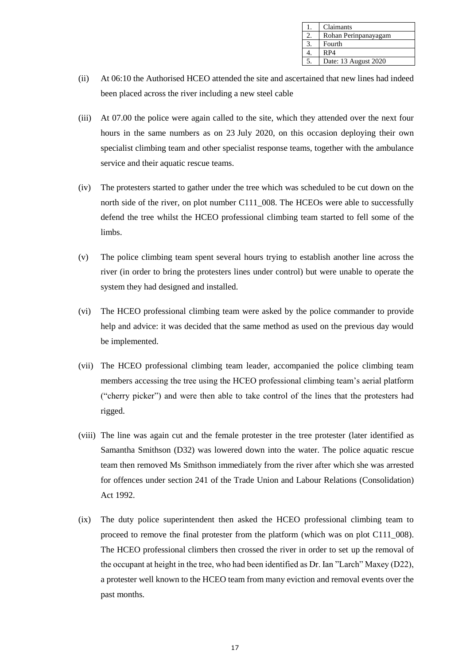| Claimants            |
|----------------------|
| Rohan Perinpanayagam |
| Fourth               |
| RP4                  |
| Date: 13 August 2020 |

- (ii) At 06:10 the Authorised HCEO attended the site and ascertained that new lines had indeed been placed across the river including a new steel cable
- (iii) At 07.00 the police were again called to the site, which they attended over the next four hours in the same numbers as on 23 July 2020, on this occasion deploying their own specialist climbing team and other specialist response teams, together with the ambulance service and their aquatic rescue teams.
- (iv) The protesters started to gather under the tree which was scheduled to be cut down on the north side of the river, on plot number C111\_008. The HCEOs were able to successfully defend the tree whilst the HCEO professional climbing team started to fell some of the limbs.
- (v) The police climbing team spent several hours trying to establish another line across the river (in order to bring the protesters lines under control) but were unable to operate the system they had designed and installed.
- (vi) The HCEO professional climbing team were asked by the police commander to provide help and advice: it was decided that the same method as used on the previous day would be implemented.
- (vii) The HCEO professional climbing team leader, accompanied the police climbing team members accessing the tree using the HCEO professional climbing team's aerial platform ("cherry picker") and were then able to take control of the lines that the protesters had rigged.
- (viii) The line was again cut and the female protester in the tree protester (later identified as Samantha Smithson (D32) was lowered down into the water. The police aquatic rescue team then removed Ms Smithson immediately from the river after which she was arrested for offences under section 241 of the Trade Union and Labour Relations (Consolidation) Act 1992.
- (ix) The duty police superintendent then asked the HCEO professional climbing team to proceed to remove the final protester from the platform (which was on plot C111\_008). The HCEO professional climbers then crossed the river in order to set up the removal of the occupant at height in the tree, who had been identified as Dr. Ian "Larch" Maxey (D22), a protester well known to the HCEO team from many eviction and removal events over the past months.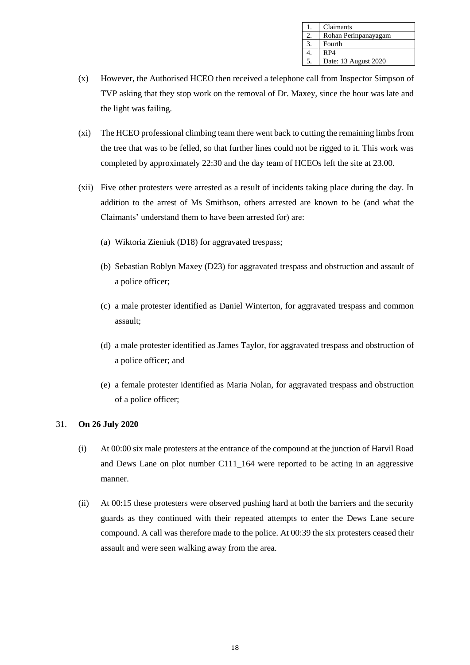| Claimants            |
|----------------------|
| Rohan Perinpanayagam |
| Fourth               |
| RP4                  |
| Date: 13 August 2020 |

- (x) However, the Authorised HCEO then received a telephone call from Inspector Simpson of TVP asking that they stop work on the removal of Dr. Maxey, since the hour was late and the light was failing.
- (xi) The HCEO professional climbing team there went back to cutting the remaining limbs from the tree that was to be felled, so that further lines could not be rigged to it. This work was completed by approximately 22:30 and the day team of HCEOs left the site at 23.00.
- (xii) Five other protesters were arrested as a result of incidents taking place during the day. In addition to the arrest of Ms Smithson, others arrested are known to be (and what the Claimants' understand them to have been arrested for) are:
	- (a) Wiktoria Zieniuk (D18) for aggravated trespass;
	- (b) Sebastian Roblyn Maxey (D23) for aggravated trespass and obstruction and assault of a police officer;
	- (c) a male protester identified as Daniel Winterton, for aggravated trespass and common assault;
	- (d) a male protester identified as James Taylor, for aggravated trespass and obstruction of a police officer; and
	- (e) a female protester identified as Maria Nolan, for aggravated trespass and obstruction of a police officer;

## 31. **On 26 July 2020**

- (i) At 00:00 six male protesters at the entrance of the compound at the junction of Harvil Road and Dews Lane on plot number C111\_164 were reported to be acting in an aggressive manner.
- (ii) At 00:15 these protesters were observed pushing hard at both the barriers and the security guards as they continued with their repeated attempts to enter the Dews Lane secure compound. A call was therefore made to the police. At 00:39 the six protesters ceased their assault and were seen walking away from the area.